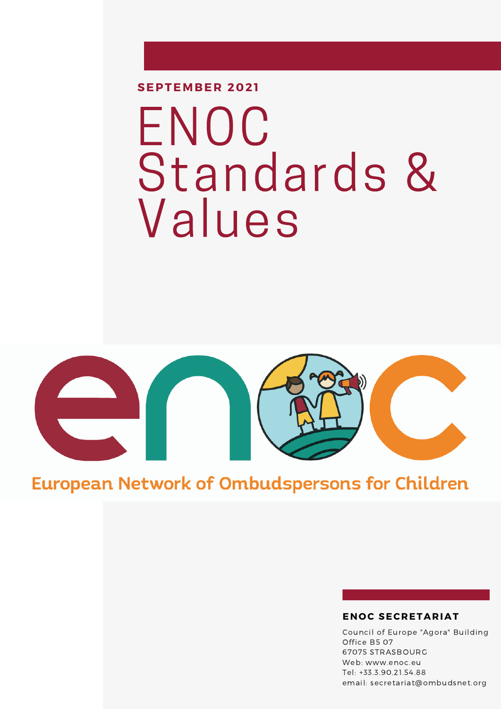**SEPTEMBER 2021**

# ENOC Standards & Values



### **European Network of Ombudspersons for Children**

#### **EN O C SECRETARIAT**

Council of Europe "Agora" Building Office B5 07 67075 STRASBOURG Web: www.enoc.eu Tel: +33.3.90.21.54.88 email: secretariat@ombudsnet.org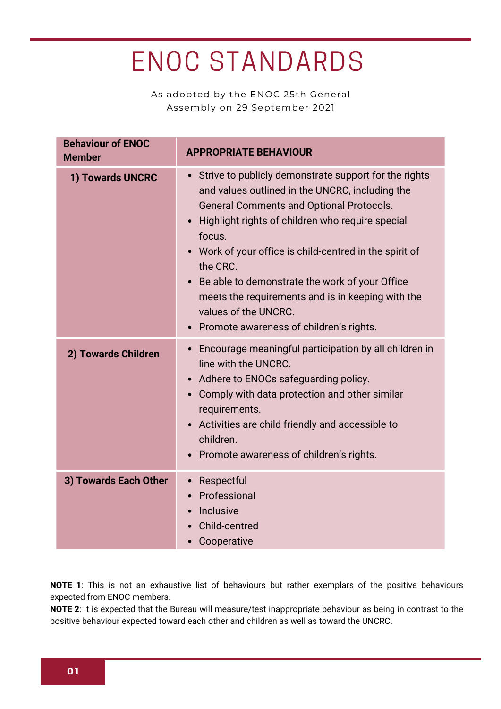## ENOC STANDARDS

As adopted by the ENOC 25th General Assembly on 29 September 2021

| <b>Behaviour of ENOC</b><br><b>Member</b> | <b>APPROPRIATE BEHAVIOUR</b>                                                                                                                                                                                                                                                                                                                                                                                                                                                                       |
|-------------------------------------------|----------------------------------------------------------------------------------------------------------------------------------------------------------------------------------------------------------------------------------------------------------------------------------------------------------------------------------------------------------------------------------------------------------------------------------------------------------------------------------------------------|
| 1) Towards UNCRC                          | Strive to publicly demonstrate support for the rights<br>$\bullet$<br>and values outlined in the UNCRC, including the<br><b>General Comments and Optional Protocols.</b><br>Highlight rights of children who require special<br>focus.<br>Work of your office is child-centred in the spirit of<br>the CRC.<br>Be able to demonstrate the work of your Office<br>meets the requirements and is in keeping with the<br>values of the UNCRC.<br>Promote awareness of children's rights.<br>$\bullet$ |
| 2) Towards Children                       | Encourage meaningful participation by all children in<br>$\bullet$<br>line with the UNCRC.<br>Adhere to ENOCs safeguarding policy.<br>Comply with data protection and other similar<br>$\bullet$<br>requirements.<br>Activities are child friendly and accessible to<br>children.<br>Promote awareness of children's rights.                                                                                                                                                                       |
| 3) Towards Each Other                     | Respectful<br>$\bullet$<br>Professional<br>Inclusive<br>Child-centred<br>Cooperative                                                                                                                                                                                                                                                                                                                                                                                                               |

**NOTE 1**: This is not an exhaustive list of behaviours but rather exemplars of the positive behaviours expected from ENOC members.

**NOTE 2**: It is expected that the Bureau will measure/test inappropriate behaviour as being in contrast to the positive behaviour expected toward each other and children as well as toward the UNCRC.